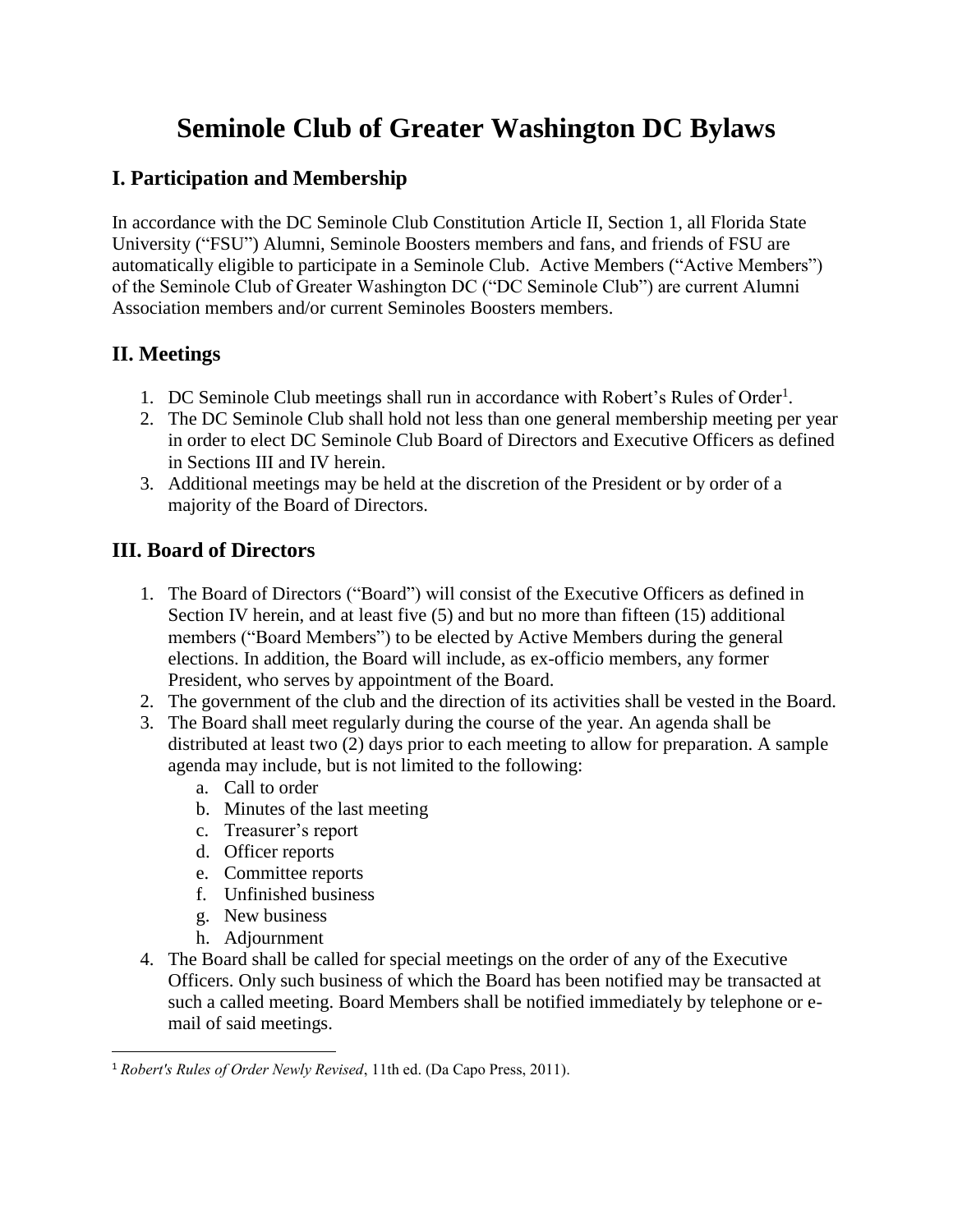# **Seminole Club of Greater Washington DC Bylaws**

### **I. Participation and Membership**

In accordance with the DC Seminole Club Constitution Article II, Section 1, all Florida State University ("FSU") Alumni, Seminole Boosters members and fans, and friends of FSU are automatically eligible to participate in a Seminole Club. Active Members ("Active Members") of the Seminole Club of Greater Washington DC ("DC Seminole Club") are current Alumni Association members and/or current Seminoles Boosters members.

## **II. Meetings**

- 1. DC Seminole Club meetings shall run in accordance with Robert's Rules of Order<sup>1</sup>.
- 2. The DC Seminole Club shall hold not less than one general membership meeting per year in order to elect DC Seminole Club Board of Directors and Executive Officers as defined in Sections III and IV herein.
- 3. Additional meetings may be held at the discretion of the President or by order of a majority of the Board of Directors.

## **III. Board of Directors**

- 1. The Board of Directors ("Board") will consist of the Executive Officers as defined in Section IV herein, and at least five (5) and but no more than fifteen (15) additional members ("Board Members") to be elected by Active Members during the general elections. In addition, the Board will include, as ex-officio members, any former President, who serves by appointment of the Board.
- 2. The government of the club and the direction of its activities shall be vested in the Board.
- 3. The Board shall meet regularly during the course of the year. An agenda shall be distributed at least two (2) days prior to each meeting to allow for preparation. A sample agenda may include, but is not limited to the following:
	- a. Call to order
	- b. Minutes of the last meeting
	- c. Treasurer's report
	- d. Officer reports
	- e. Committee reports
	- f. Unfinished business
	- g. New business
	- h. Adjournment
- 4. The Board shall be called for special meetings on the order of any of the Executive Officers. Only such business of which the Board has been notified may be transacted at such a called meeting. Board Members shall be notified immediately by telephone or email of said meetings.

 $\overline{\phantom{a}}$ <sup>1</sup> *Robert's Rules of Order Newly Revised*, 11th ed. (Da Capo Press, 2011).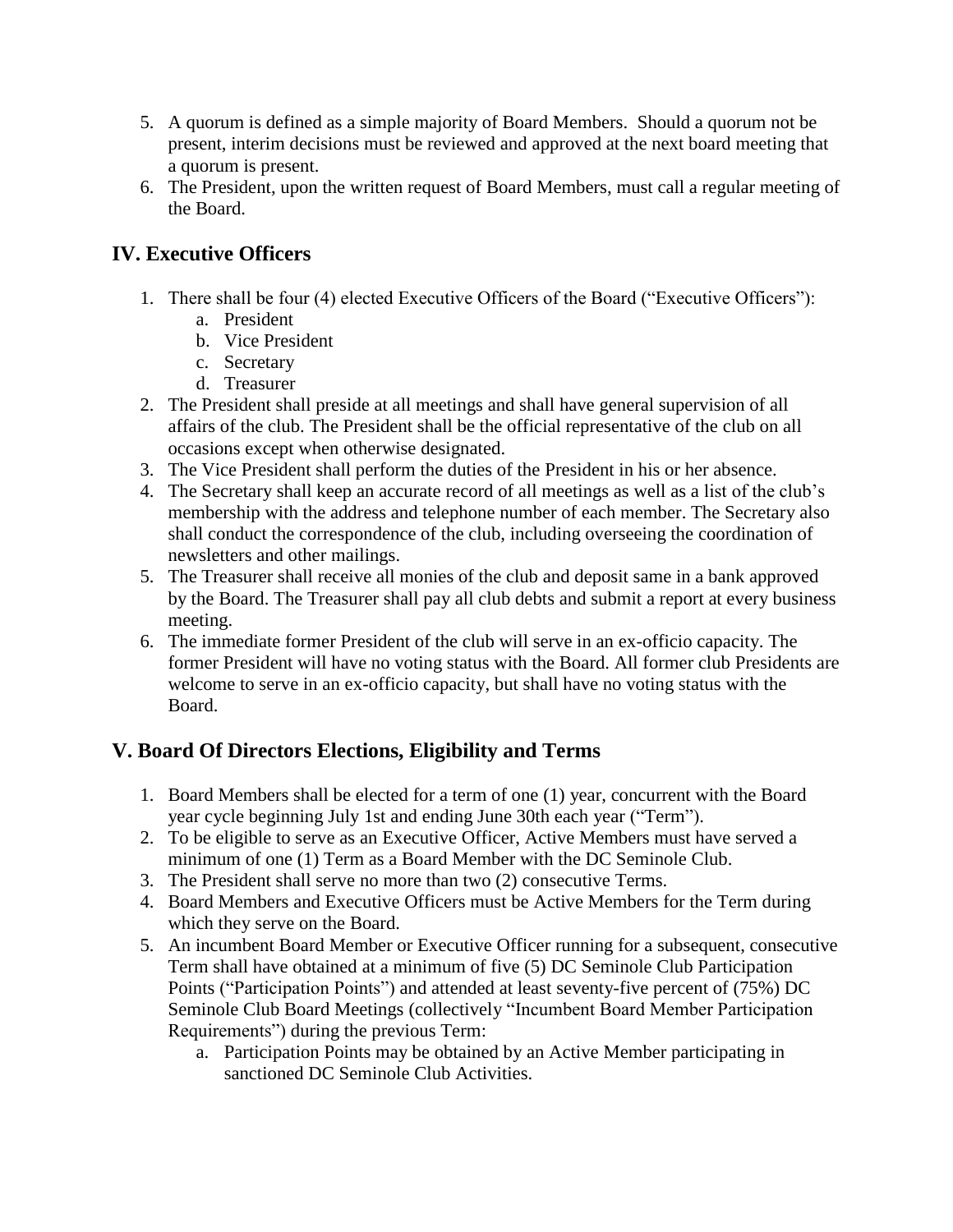- 5. A quorum is defined as a simple majority of Board Members. Should a quorum not be present, interim decisions must be reviewed and approved at the next board meeting that a quorum is present.
- 6. The President, upon the written request of Board Members, must call a regular meeting of the Board.

# **IV. Executive Officers**

- 1. There shall be four (4) elected Executive Officers of the Board ("Executive Officers"):
	- a. President
	- b. Vice President
	- c. Secretary
	- d. Treasurer
- 2. The President shall preside at all meetings and shall have general supervision of all affairs of the club. The President shall be the official representative of the club on all occasions except when otherwise designated.
- 3. The Vice President shall perform the duties of the President in his or her absence.
- 4. The Secretary shall keep an accurate record of all meetings as well as a list of the club's membership with the address and telephone number of each member. The Secretary also shall conduct the correspondence of the club, including overseeing the coordination of newsletters and other mailings.
- 5. The Treasurer shall receive all monies of the club and deposit same in a bank approved by the Board. The Treasurer shall pay all club debts and submit a report at every business meeting.
- 6. The immediate former President of the club will serve in an ex-officio capacity. The former President will have no voting status with the Board. All former club Presidents are welcome to serve in an ex-officio capacity, but shall have no voting status with the Board.

# **V. Board Of Directors Elections, Eligibility and Terms**

- 1. Board Members shall be elected for a term of one (1) year, concurrent with the Board year cycle beginning July 1st and ending June 30th each year ("Term").
- 2. To be eligible to serve as an Executive Officer, Active Members must have served a minimum of one (1) Term as a Board Member with the DC Seminole Club.
- 3. The President shall serve no more than two (2) consecutive Terms.
- 4. Board Members and Executive Officers must be Active Members for the Term during which they serve on the Board.
- 5. An incumbent Board Member or Executive Officer running for a subsequent, consecutive Term shall have obtained at a minimum of five (5) DC Seminole Club Participation Points ("Participation Points") and attended at least seventy-five percent of (75%) DC Seminole Club Board Meetings (collectively "Incumbent Board Member Participation Requirements") during the previous Term:
	- a. Participation Points may be obtained by an Active Member participating in sanctioned DC Seminole Club Activities.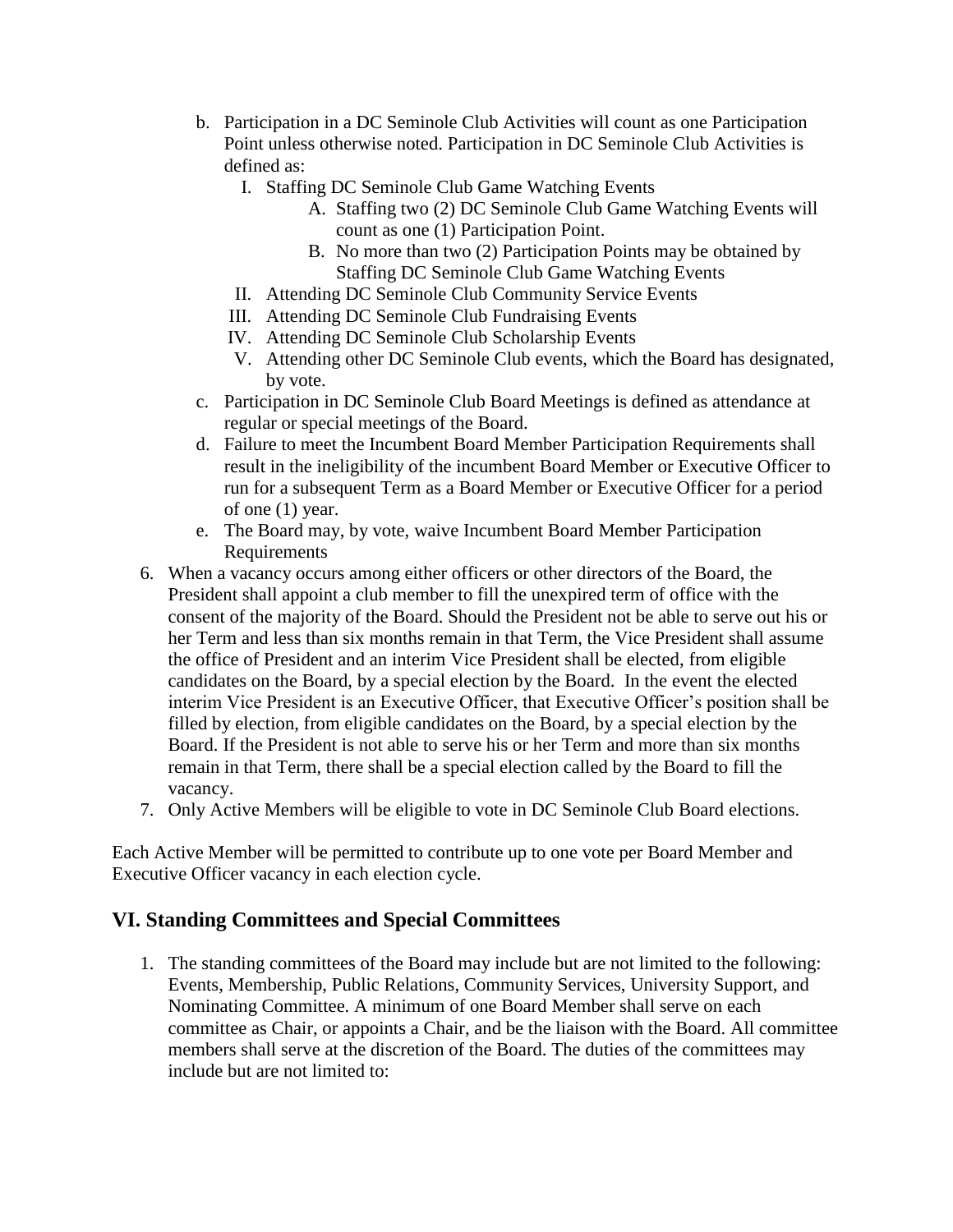- b. Participation in a DC Seminole Club Activities will count as one Participation Point unless otherwise noted. Participation in DC Seminole Club Activities is defined as:
	- I. Staffing DC Seminole Club Game Watching Events
		- A. Staffing two (2) DC Seminole Club Game Watching Events will count as one (1) Participation Point.
		- B. No more than two (2) Participation Points may be obtained by Staffing DC Seminole Club Game Watching Events
	- II. Attending DC Seminole Club Community Service Events
	- III. Attending DC Seminole Club Fundraising Events
	- IV. Attending DC Seminole Club Scholarship Events
	- V. Attending other DC Seminole Club events, which the Board has designated, by vote.
- c. Participation in DC Seminole Club Board Meetings is defined as attendance at regular or special meetings of the Board.
- d. Failure to meet the Incumbent Board Member Participation Requirements shall result in the ineligibility of the incumbent Board Member or Executive Officer to run for a subsequent Term as a Board Member or Executive Officer for a period of one (1) year.
- e. The Board may, by vote, waive Incumbent Board Member Participation Requirements
- 6. When a vacancy occurs among either officers or other directors of the Board, the President shall appoint a club member to fill the unexpired term of office with the consent of the majority of the Board. Should the President not be able to serve out his or her Term and less than six months remain in that Term, the Vice President shall assume the office of President and an interim Vice President shall be elected, from eligible candidates on the Board, by a special election by the Board. In the event the elected interim Vice President is an Executive Officer, that Executive Officer's position shall be filled by election, from eligible candidates on the Board, by a special election by the Board. If the President is not able to serve his or her Term and more than six months remain in that Term, there shall be a special election called by the Board to fill the vacancy.
- 7. Only Active Members will be eligible to vote in DC Seminole Club Board elections.

Each Active Member will be permitted to contribute up to one vote per Board Member and Executive Officer vacancy in each election cycle.

### **VI. Standing Committees and Special Committees**

1. The standing committees of the Board may include but are not limited to the following: Events, Membership, Public Relations, Community Services, University Support, and Nominating Committee. A minimum of one Board Member shall serve on each committee as Chair, or appoints a Chair, and be the liaison with the Board. All committee members shall serve at the discretion of the Board. The duties of the committees may include but are not limited to: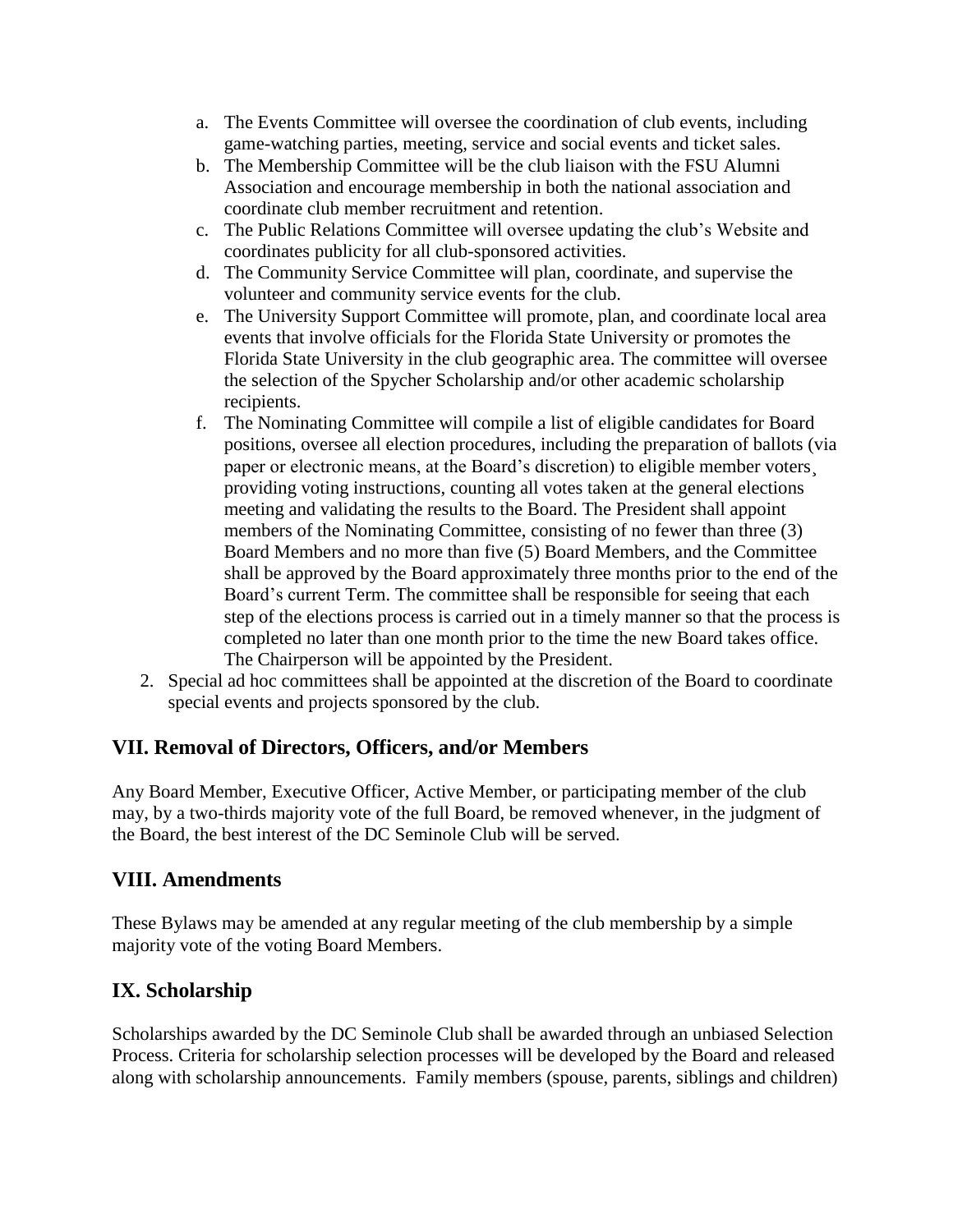- a. The Events Committee will oversee the coordination of club events, including game-watching parties, meeting, service and social events and ticket sales.
- b. The Membership Committee will be the club liaison with the FSU Alumni Association and encourage membership in both the national association and coordinate club member recruitment and retention.
- c. The Public Relations Committee will oversee updating the club's Website and coordinates publicity for all club-sponsored activities.
- d. The Community Service Committee will plan, coordinate, and supervise the volunteer and community service events for the club.
- e. The University Support Committee will promote, plan, and coordinate local area events that involve officials for the Florida State University or promotes the Florida State University in the club geographic area. The committee will oversee the selection of the Spycher Scholarship and/or other academic scholarship recipients.
- f. The Nominating Committee will compile a list of eligible candidates for Board positions, oversee all election procedures, including the preparation of ballots (via paper or electronic means, at the Board's discretion) to eligible member voters¸ providing voting instructions, counting all votes taken at the general elections meeting and validating the results to the Board. The President shall appoint members of the Nominating Committee, consisting of no fewer than three (3) Board Members and no more than five (5) Board Members, and the Committee shall be approved by the Board approximately three months prior to the end of the Board's current Term. The committee shall be responsible for seeing that each step of the elections process is carried out in a timely manner so that the process is completed no later than one month prior to the time the new Board takes office. The Chairperson will be appointed by the President.
- 2. Special ad hoc committees shall be appointed at the discretion of the Board to coordinate special events and projects sponsored by the club.

### **VII. Removal of Directors, Officers, and/or Members**

Any Board Member, Executive Officer, Active Member, or participating member of the club may, by a two-thirds majority vote of the full Board, be removed whenever, in the judgment of the Board, the best interest of the DC Seminole Club will be served.

### **VIII. Amendments**

These Bylaws may be amended at any regular meeting of the club membership by a simple majority vote of the voting Board Members.

# **IX. Scholarship**

Scholarships awarded by the DC Seminole Club shall be awarded through an unbiased Selection Process. Criteria for scholarship selection processes will be developed by the Board and released along with scholarship announcements. Family members (spouse, parents, siblings and children)